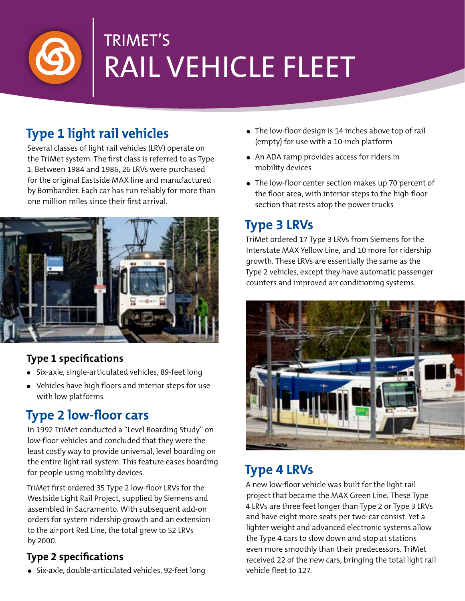

# TRIMET'S RAIL VEHICLE FLEET

## **Type 1 light rail vehicles**

Several classes of light rail vehicles (LRV) operate on the TriMet system. The first class is referred to as Type 1. Between 1984 and 1986, 26 LRVs were purchased for the original Eastside MAX line and manufactured by Bombardier. Each car has run reliably for more than one million miles since their first arrival.



#### **Type 1 specifications**

- **•** Six-axle, single-articulated vehicles, 89-feet long
- **•** Vehicles have high floors and interior steps for use with low platforms

## **Type 2 low-floor cars**

In 1992 TriMet conducted a "Level Boarding Study" on low-floor vehicles and concluded that they were the least costly way to provide universal, level boarding on the entire light rail system. This feature eases boarding for people using mobility devices.

TriMet first ordered 35 Type 2 low-floor LRVs for the Westside Light Rail Project, supplied by Siemens and assembled in Sacramento. With subsequent add-on orders for system ridership growth and an extension to the airport Red Line, the total grew to 52 LRVs by 2000.

#### **Type 2 specifications**

**•** Six-axle, double-articulated vehicles, 92-feet long

- **•** The low-floor design is 14 inches above top of rail (empty) for use with a 10-inch platform
- **•** An ADA ramp provides access for riders in mobility devices
- **•** The low-floor center section makes up 70 percent of the floor area, with interior steps to the high-floor section that rests atop the power trucks

### **Type 3 LRVs**

TriMet ordered 17 Type 3 LRVs from Siemens for the Interstate MAX Yellow Line, and 10 more for ridership growth. These LRVs are essentially the same as the Type 2 vehicles, except they have automatic passenger counters and improved air conditioning systems.



#### **Type 4 LRVs**

A new low-floor vehicle was built for the light rail project that became the MAX Green Line. These Type 4 LRVs are three feet longer than Type 2 or Type 3 LRVs and have eight more seats per two-car consist. Yet a lighter weight and advanced electronic systems allow the Type 4 cars to slow down and stop at stations even more smoothly than their predecessors. TriMet received 22 of the new cars, bringing the total light rail vehicle fleet to 127.